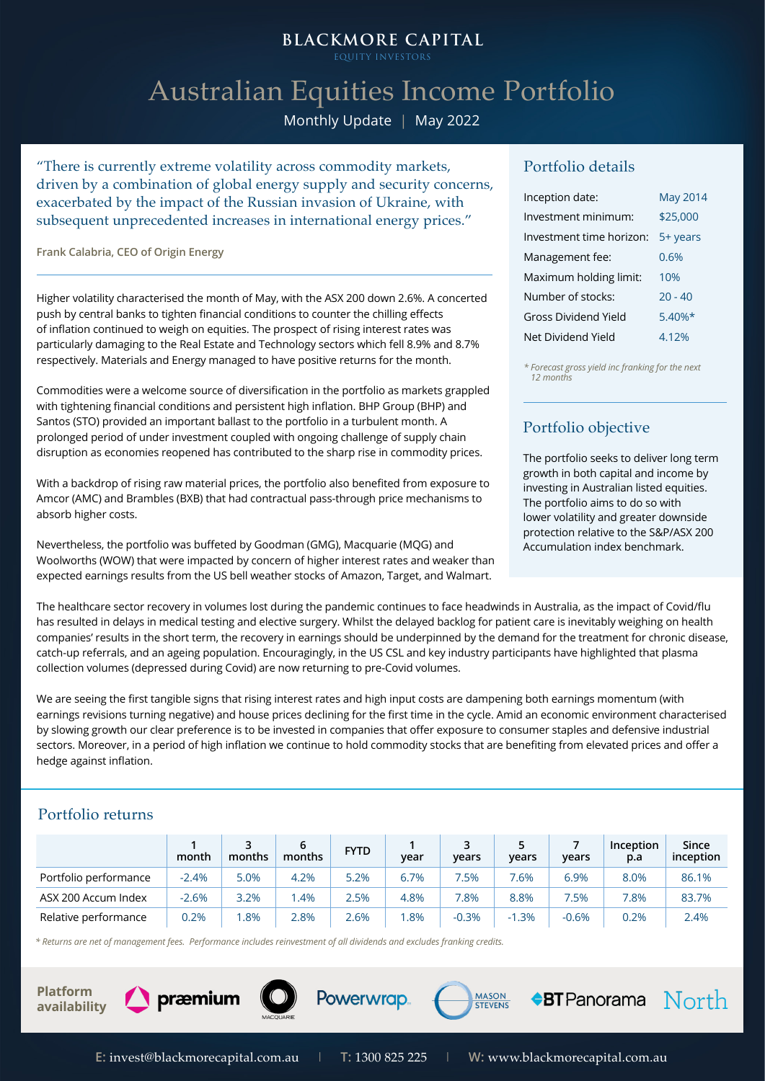# **BLACKMORE CAPITAL**

EQUITY INVESTOE

# Australian Equities Income Portfolio

Monthly Update | May 2022

"There is currently extreme volatility across commodity markets, driven by a combination of global energy supply and security concerns, exacerbated by the impact of the Russian invasion of Ukraine, with subsequent unprecedented increases in international energy prices."

**Frank Calabria, CEO of Origin Energy** 

Higher volatility characterised the month of May, with the ASX 200 down 2.6%. A concerted push by central banks to tighten financial conditions to counter the chilling effects of inflation continued to weigh on equities. The prospect of rising interest rates was particularly damaging to the Real Estate and Technology sectors which fell 8.9% and 8.7% respectively. Materials and Energy managed to have positive returns for the month.

Commodities were a welcome source of diversification in the portfolio as markets grappled with tightening financial conditions and persistent high inflation. BHP Group (BHP) and Santos (STO) provided an important ballast to the portfolio in a turbulent month. A prolonged period of under investment coupled with ongoing challenge of supply chain disruption as economies reopened has contributed to the sharp rise in commodity prices.

With a backdrop of rising raw material prices, the portfolio also benefited from exposure to Amcor (AMC) and Brambles (BXB) that had contractual pass-through price mechanisms to absorb higher costs.

Nevertheless, the portfolio was buffeted by Goodman (GMG), Macquarie (MQG) and Woolworths (WOW) that were impacted by concern of higher interest rates and weaker than expected earnings results from the US bell weather stocks of Amazon, Target, and Walmart.

#### Portfolio details

| Inception date:          | <b>May 2014</b> |
|--------------------------|-----------------|
| Investment minimum:      | \$25,000        |
| Investment time horizon: | 5+ years        |
| Management fee:          | 0.6%            |
| Maximum holding limit:   | 10%             |
| Number of stocks:        | $20 - 40$       |
| Gross Dividend Yield     | $5.40\%*$       |
| Net Dividend Yield       | 4.12%           |

*\* Forecast gross yield inc franking for the next 12 months*

## Portfolio objective

The portfolio seeks to deliver long term growth in both capital and income by investing in Australian listed equities. The portfolio aims to do so with lower volatility and greater downside protection relative to the S&P/ASX 200 Accumulation index benchmark.

The healthcare sector recovery in volumes lost during the pandemic continues to face headwinds in Australia, as the impact of Covid/flu has resulted in delays in medical testing and elective surgery. Whilst the delayed backlog for patient care is inevitably weighing on health companies' results in the short term, the recovery in earnings should be underpinned by the demand for the treatment for chronic disease, catch-up referrals, and an ageing population. Encouragingly, in the US CSL and key industry participants have highlighted that plasma collection volumes (depressed during Covid) are now returning to pre-Covid volumes.

We are seeing the first tangible signs that rising interest rates and high input costs are dampening both earnings momentum (with earnings revisions turning negative) and house prices declining for the first time in the cycle. Amid an economic environment characterised by slowing growth our clear preference is to be invested in companies that offer exposure to consumer staples and defensive industrial sectors. Moreover, in a period of high inflation we continue to hold commodity stocks that are benefiting from elevated prices and offer a hedge against inflation.

#### Portfolio returns

|                       | month   | months | months | <b>FYTD</b> | year | years   | years   | years   | Inception<br>p.a | Since<br>inception |
|-----------------------|---------|--------|--------|-------------|------|---------|---------|---------|------------------|--------------------|
| Portfolio performance | $-2.4%$ | 5.0%   | 4.2%   | 5.2%        | 6.7% | .5%     | $.6\%$  | 6.9%    | 8.0%             | 86.1%              |
| ASX 200 Accum Index   | $-2.6%$ | 3.2%   | .4%    | 2.5%        | 4.8% | 7.8%    | 8.8%    | 7.5%    | $7.8\%$          | 83.7%              |
| Relative performance  | 0.2%    | .8%    | 2.8%   | 2.6%        | .8%  | $-0.3%$ | $-1.3%$ | $-0.6%$ | 0.2%             | 2.4%               |

*\* Returns are net of management fees. Performance includes reinvestment of all dividends and excludes franking credits.*





Powerwrap.

**MASON** 

 $\triangle$ BT Panorama  $\overline{North}$